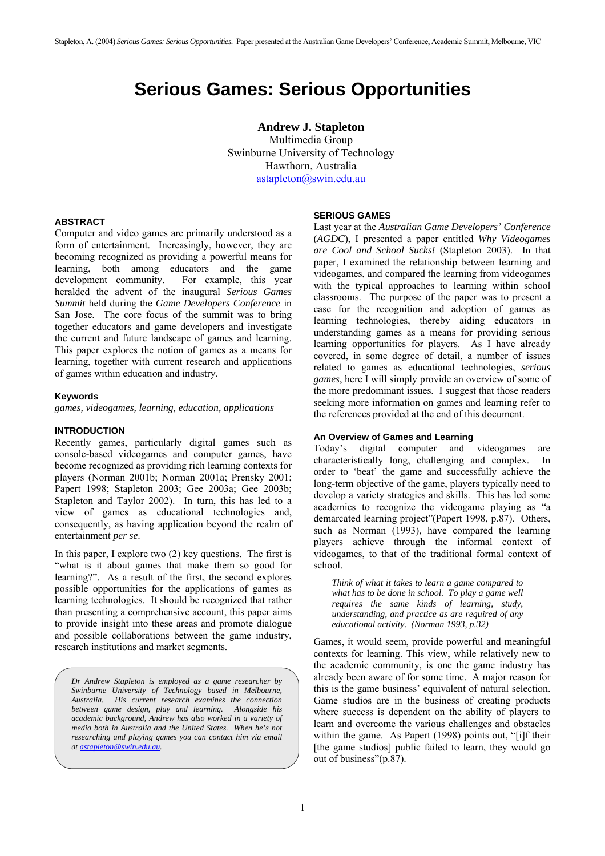# **Serious Games: Serious Opportunities**

**Andrew J. Stapleton**  Multimedia Group Swinburne University of Technology Hawthorn, Australia [astapleton@swin.edu.au](mailto:astapleton@swin.edu.au)

## **ABSTRACT**

Computer and video games are primarily understood as a form of entertainment. Increasingly, however, they are becoming recognized as providing a powerful means for learning, both among educators and the game development community. For example, this year heralded the advent of the inaugural *Serious Games Summit* held during the *Game Developers Conference* in San Jose. The core focus of the summit was to bring together educators and game developers and investigate the current and future landscape of games and learning. This paper explores the notion of games as a means for learning, together with current research and applications of games within education and industry.

### **Keywords**

*games, videogames, learning, education, applications*

## **INTRODUCTION**

Recently games, particularly digital games such as console-based videogames and computer games, have become recognized as providing rich learning contexts for players (Norman 2001b; Norman 2001a; Prensky 2001; Papert 1998; Stapleton 2003; Gee 2003a; Gee 2003b; Stapleton and Taylor 2002). In turn, this has led to a view of games as educational technologies and, consequently, as having application beyond the realm of entertainment *per se*.

In this paper, I explore two (2) key questions. The first is "what is it about games that make them so good for learning?". As a result of the first, the second explores possible opportunities for the applications of games as learning technologies. It should be recognized that rather than presenting a comprehensive account, this paper aims to provide insight into these areas and promote dialogue and possible collaborations between the game industry, research institutions and market segments.

*Dr Andrew Stapleton is employed as a game researcher by Swinburne University of Technology based in Melbourne, Australia. His current research examines the connection between game design, play and learning. Alongside his academic background, Andrew has also worked in a variety of media both in Australia and the United States. When he's not researching and playing games you can contact him via email at [astapleton@swin.edu.au.](mailto:astapleton@swin.edu.au)* 

## **SERIOUS GAMES**

Last year at the *Australian Game Developers' Conference* (*AGDC*), I presented a paper entitled *Why Videogames are Cool and School Sucks!* (Stapleton 2003). In that paper, I examined the relationship between learning and videogames, and compared the learning from videogames with the typical approaches to learning within school classrooms. The purpose of the paper was to present a case for the recognition and adoption of games as learning technologies, thereby aiding educators in understanding games as a means for providing serious learning opportunities for players. As I have already covered, in some degree of detail, a number of issues related to games as educational technologies, *serious games*, here I will simply provide an overview of some of the more predominant issues. I suggest that those readers seeking more information on games and learning refer to the references provided at the end of this document.

### **An Overview of Games and Learning**

Today's digital computer and videogames are characteristically long, challenging and complex. In order to 'beat' the game and successfully achieve the long-term objective of the game, players typically need to develop a variety strategies and skills. This has led some academics to recognize the videogame playing as "a demarcated learning project"(Papert 1998, p.87). Others, such as Norman (1993), have compared the learning players achieve through the informal context of videogames, to that of the traditional formal context of school.

*Think of what it takes to learn a game compared to what has to be done in school. To play a game well requires the same kinds of learning, study, understanding, and practice as are required of any educational activity. (Norman 1993, p.32)*

Games, it would seem, provide powerful and meaningful contexts for learning. This view, while relatively new to the academic community, is one the game industry has already been aware of for some time. A major reason for this is the game business' equivalent of natural selection. Game studios are in the business of creating products where success is dependent on the ability of players to learn and overcome the various challenges and obstacles within the game. As Papert (1998) points out, "[i]f their [the game studios] public failed to learn, they would go out of business"(p.87).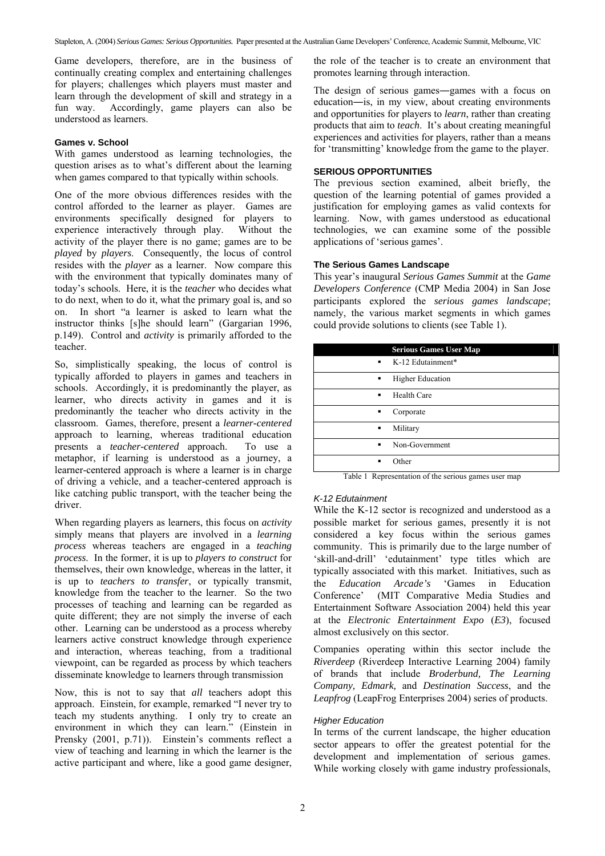Game developers, therefore, are in the business of continually creating complex and entertaining challenges for players; challenges which players must master and learn through the development of skill and strategy in a fun way. Accordingly, game players can also be understood as learners.

## **Games v. School**

With games understood as learning technologies, the question arises as to what's different about the learning when games compared to that typically within schools.

One of the more obvious differences resides with the control afforded to the learner as player. Games are environments specifically designed for players to experience interactively through play. Without the activity of the player there is no game; games are to be *played* by *players*. Consequently, the locus of control resides with the *player* as a learner. Now compare this with the environment that typically dominates many of today's schools. Here, it is the *teacher* who decides what to do next, when to do it, what the primary goal is, and so on. In short "a learner is asked to learn what the instructor thinks [s]he should learn" (Gargarian 1996, p.149). Control and *activity* is primarily afforded to the teacher.

So, simplistically speaking, the locus of control is typically afforded to players in games and teachers in schools. Accordingly, it is predominantly the player, as learner, who directs activity in games and it is predominantly the teacher who directs activity in the classroom. Games, therefore, present a *learner-centered* approach to learning, whereas traditional education presents a *teacher-centered* approach. To use a metaphor, if learning is understood as a journey, a learner-centered approach is where a learner is in charge of driving a vehicle, and a teacher-centered approach is like catching public transport, with the teacher being the driver.

When regarding players as learners, this focus on *activity* simply means that players are involved in a *learning process* whereas teachers are engaged in a *teaching process*. In the former, it is up to *players to construct* for themselves, their own knowledge, whereas in the latter, it is up to *teachers to transfer*, or typically transmit, knowledge from the teacher to the learner. So the two processes of teaching and learning can be regarded as quite different; they are not simply the inverse of each other. Learning can be understood as a process whereby learners active construct knowledge through experience and interaction, whereas teaching, from a traditional viewpoint, can be regarded as process by which teachers disseminate knowledge to learners through transmission

Now, this is not to say that *all* teachers adopt this approach. Einstein, for example, remarked "I never try to teach my students anything. I only try to create an environment in which they can learn." (Einstein in Prensky (2001, p.71)). Einstein's comments reflect a view of teaching and learning in which the learner is the active participant and where, like a good game designer, the role of the teacher is to create an environment that promotes learning through interaction.

The design of serious games―games with a focus on education―is, in my view, about creating environments and opportunities for players to *learn*, rather than creating products that aim to *teach*. It's about creating meaningful experiences and activities for players, rather than a means for 'transmitting' knowledge from the game to the player.

# **SERIOUS OPPORTUNITIES**

The previous section examined, albeit briefly, the question of the learning potential of games provided a justification for employing games as valid contexts for learning. Now, with games understood as educational technologies, we can examine some of the possible applications of 'serious games'.

# **The Serious Games Landscape**

This year's inaugural *Serious Games Summit* at the *Game Developers Conference* (CMP Media 2004) in San Jose participants explored the *serious games landscape*; namely, the various market segments in which games could provide solutions to clients (see [Table 1\)](#page-1-0).

|                | <b>Serious Games User Map</b>                                          |
|----------------|------------------------------------------------------------------------|
|                | $\bullet$ K-12 Edutainment*                                            |
| ٠              | <b>Higher Education</b>                                                |
| ٠              | Health Care                                                            |
| ٠              | Corporate                                                              |
| ٠              | Military                                                               |
| $\blacksquare$ | Non-Government                                                         |
| ٠              | Other                                                                  |
|                | <b>Contract Contract Contract Contract</b><br>$\cdot$<br>$\sim$ $\sim$ |

<span id="page-1-0"></span>Table 1 Representation of the serious games user map

#### *K-12 Edutainment*

While the K-12 sector is recognized and understood as a possible market for serious games, presently it is not considered a key focus within the serious games community. This is primarily due to the large number of 'skill-and-drill' 'edutainment' type titles which are typically associated with this market. Initiatives, such as the *Education Arcade's* 'Games in Education Conference' (MIT Comparative Media Studies and Entertainment Software Association 2004) held this year at the *Electronic Entertainment Expo* (*E3*), focused almost exclusively on this sector.

Companies operating within this sector include the *Riverdeep* (Riverdeep Interactive Learning 2004) family of brands that include *Broderbund, The Learning Company, Edmark,* and *Destination Success*, and the *Leapfrog* (LeapFrog Enterprises 2004) series of products.

# *Higher Education*

In terms of the current landscape, the higher education sector appears to offer the greatest potential for the development and implementation of serious games. While working closely with game industry professionals,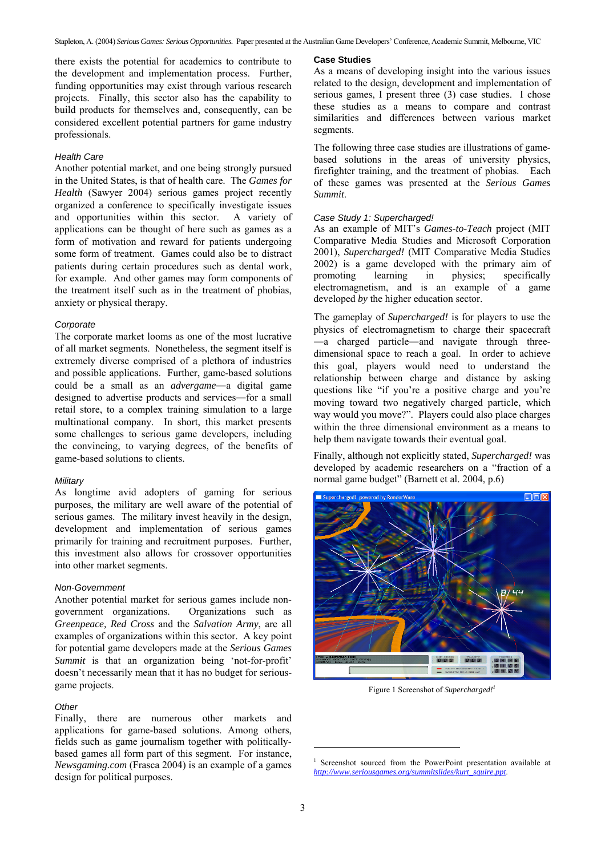there exists the potential for academics to contribute to the development and implementation process. Further, funding opportunities may exist through various research projects. Finally, this sector also has the capability to build products for themselves and, consequently, can be considered excellent potential partners for game industry professionals.

### *Health Care*

Another potential market, and one being strongly pursued in the United States, is that of health care. The *Games for Health* (Sawyer 2004) serious games project recently organized a conference to specifically investigate issues and opportunities within this sector. A variety of applications can be thought of here such as games as a form of motivation and reward for patients undergoing some form of treatment. Games could also be to distract patients during certain procedures such as dental work, for example. And other games may form components of the treatment itself such as in the treatment of phobias, anxiety or physical therapy.

#### *Corporate*

The corporate market looms as one of the most lucrative of all market segments. Nonetheless, the segment itself is extremely diverse comprised of a plethora of industries and possible applications. Further, game-based solutions could be a small as an *advergame*―a digital game designed to advertise products and services―for a small retail store, to a complex training simulation to a large multinational company. In short, this market presents some challenges to serious game developers, including the convincing, to varying degrees, of the benefits of game-based solutions to clients.

#### *Military*

As longtime avid adopters of gaming for serious purposes, the military are well aware of the potential of serious games. The military invest heavily in the design, development and implementation of serious games primarily for training and recruitment purposes. Further, this investment also allows for crossover opportunities into other market segments.

#### *Non-Government*

Another potential market for serious games include nongovernment organizations. Organizations such as *Greenpeace, Red Cross* and the *Salvation Army*, are all examples of organizations within this sector. A key point for potential game developers made at the *Serious Games Summit* is that an organization being 'not-for-profit' doesn't necessarily mean that it has no budget for seriousgame projects.

#### *Other*

Finally, there are numerous other markets and applications for game-based solutions. Among others, fields such as game journalism together with politicallybased games all form part of this segment. For instance, *Newsgaming.com* (Frasca 2004) is an example of a games design for political purposes.

#### **Case Studies**

As a means of developing insight into the various issues related to the design, development and implementation of serious games, I present three (3) case studies. I chose these studies as a means to compare and contrast similarities and differences between various market segments.

The following three case studies are illustrations of gamebased solutions in the areas of university physics, firefighter training, and the treatment of phobias. Each of these games was presented at the *Serious Games Summit*.

## *Case Study 1: Supercharged!*

As an example of MIT's *Games-to-Teach* project (MIT Comparative Media Studies and Microsoft Corporation 2001), *Supercharged!* (MIT Comparative Media Studies 2002) is a game developed with the primary aim of promoting learning in physics; specifically electromagnetism, and is an example of a game developed *by* the higher education sector.

The gameplay of *Supercharged!* is for players to use the physics of electromagnetism to charge their spacecraft ―a charged particle―and navigate through threedimensional space to reach a goal. In order to achieve this goal, players would need to understand the relationship between charge and distance by asking questions like "if you're a positive charge and you're moving toward two negatively charged particle, which way would you move?". Players could also place charges within the three dimensional environment as a means to help them navigate towards their eventual goal.

Finally, although not explicitly stated, *Supercharged!* was developed by academic researchers on a "fraction of a normal game budget" (Barnett et al. 2004, p.6)



Figure 1 Screenshot of *Supercharged[!1](#page-2-0)*

l

<span id="page-2-0"></span><sup>1</sup> Screenshot sourced from the PowerPoint presentation available at *[http://www.seriousgames.org/summitslides/kurt\\_squire.ppt](http://www.seriousgames.org/summitslides/kurt_squire.ppt)*.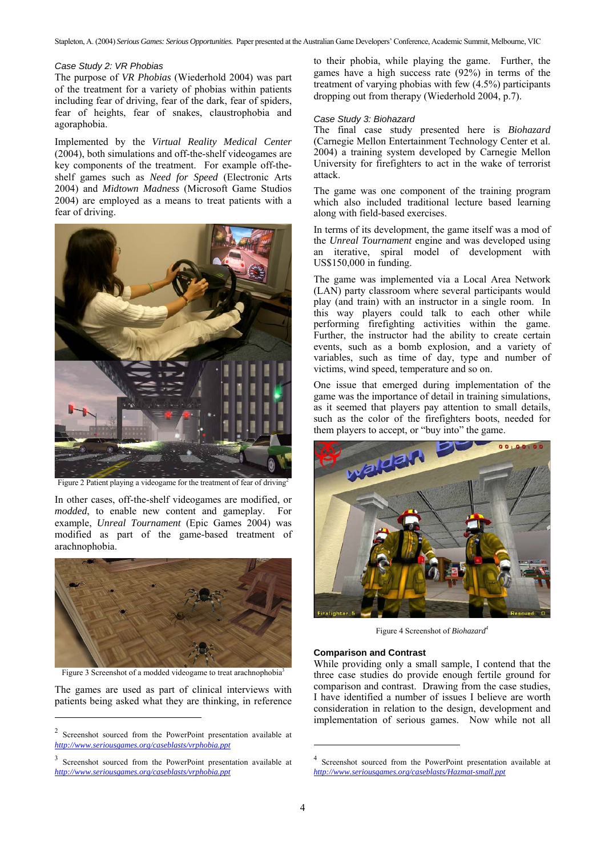Stapleton, A. (2004) *Serious Games: Serious Opportunities.* Paper presented at the Australian Game Developers' Conference, Academic Summit, Melbourne, VIC

#### *Case Study 2: VR Phobias*

The purpose of *VR Phobias* (Wiederhold 2004) was part of the treatment for a variety of phobias within patients including fear of driving, fear of the dark, fear of spiders, fear of heights, fear of snakes, claustrophobia and agoraphobia.

Implemented by the *Virtual Reality Medical Center* (2004), both simulations and off-the-shelf videogames are key components of the treatment. For example off-theshelf games such as *Need for Speed* (Electronic Arts 2004) and *Midtown Madness* (Microsoft Game Studios 2004) are employed as a means to treat patients with a fear of driving.



Figure 2 Patient playing a videogame for the treatment of fear of driving<sup>2</sup>

In other cases, off-the-shelf videogames are modified, or *modded*, to enable new content and gameplay. For example, *Unreal Tournament* (Epic Games 2004) was modified as part of the game-based treatment of arachnophobia.



Figure 3 Screenshot of a modded videogame to treat arachnophobia<sup>3</sup>

The games are used as part of clinical interviews with patients being asked what they are thinking, in reference

l

to their phobia, while playing the game. Further, the games have a high success rate (92%) in terms of the treatment of varying phobias with few (4.5%) participants dropping out from therapy (Wiederhold 2004, p.7).

# *Case Study 3: Biohazard*

The final case study presented here is *Biohazard* (Carnegie Mellon Entertainment Technology Center et al. 2004) a training system developed by Carnegie Mellon University for firefighters to act in the wake of terrorist attack.

The game was one component of the training program which also included traditional lecture based learning along with field-based exercises.

In terms of its development, the game itself was a mod of the *Unreal Tournament* engine and was developed using an iterative, spiral model of development with US\$150,000 in funding.

The game was implemented via a Local Area Network (LAN) party classroom where several participants would play (and train) with an instructor in a single room. In this way players could talk to each other while performing firefighting activities within the game. Further, the instructor had the ability to create certain events, such as a bomb explosion, and a variety of variables, such as time of day, type and number of victims, wind speed, temperature and so on.

One issue that emerged during implementation of the game was the importance of detail in training simulations, as it seemed that players pay attention to small details, such as the color of the firefighters boots, needed for them players to accept, or "buy into" the game.



Figure 4 Screenshot of *Biohazard[4](#page-3-2)*

## **Comparison and Contrast**

While providing only a small sample, I contend that the three case studies do provide enough fertile ground for comparison and contrast. Drawing from the case studies, I have identified a number of issues I believe are worth consideration in relation to the design, development and implementation of serious games. Now while not all

l

<span id="page-3-0"></span><sup>2</sup> Screenshot sourced from the PowerPoint presentation available at *<http://www.seriousgames.org/caseblasts/vrphobia.ppt>*

<span id="page-3-1"></span><sup>3</sup> Screenshot sourced from the PowerPoint presentation available at *<http://www.seriousgames.org/caseblasts/vrphobia.ppt>*

<span id="page-3-2"></span><sup>4</sup> Screenshot sourced from the PowerPoint presentation available at *[http://www.seriousgames.org/caseblasts/Hazmat-small.ppt](http://www.seriousgames.org/caseblasts/vrphobia.ppt)*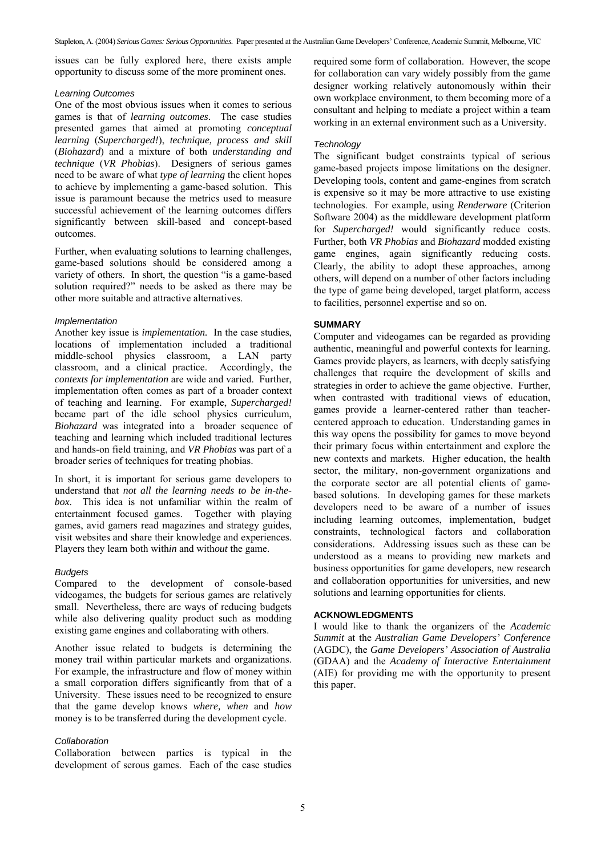issues can be fully explored here, there exists ample opportunity to discuss some of the more prominent ones.

## *Learning Outcomes*

One of the most obvious issues when it comes to serious games is that of *learning outcomes*. The case studies presented games that aimed at promoting *conceptual learning* (*Supercharged!*), *technique, process and skill* (*Biohazard*) and a mixture of both *understanding and technique* (*VR Phobias*). Designers of serious games need to be aware of what *type of learning* the client hopes to achieve by implementing a game-based solution. This issue is paramount because the metrics used to measure successful achievement of the learning outcomes differs significantly between skill-based and concept-based outcomes.

Further, when evaluating solutions to learning challenges, game-based solutions should be considered among a variety of others. In short, the question "is a game-based solution required?" needs to be asked as there may be other more suitable and attractive alternatives.

# *Implementation*

Another key issue is *implementation.* In the case studies, locations of implementation included a traditional middle-school physics classroom, a LAN party classroom, and a clinical practice. Accordingly, the *contexts for implementation* are wide and varied. Further, implementation often comes as part of a broader context of teaching and learning. For example, *Supercharged!* became part of the idle school physics curriculum, *Biohazard* was integrated into a broader sequence of teaching and learning which included traditional lectures and hands-on field training, and *VR Phobias* was part of a broader series of techniques for treating phobias.

In short, it is important for serious game developers to understand that *not all the learning needs to be in-thebox*. This idea is not unfamiliar within the realm of entertainment focused games. Together with playing games, avid gamers read magazines and strategy guides, visit websites and share their knowledge and experiences. Players they learn both with*in* and with*out* the game.

# *Budgets*

Compared to the development of console-based videogames, the budgets for serious games are relatively small. Nevertheless, there are ways of reducing budgets while also delivering quality product such as modding existing game engines and collaborating with others.

Another issue related to budgets is determining the money trail within particular markets and organizations. For example, the infrastructure and flow of money within a small corporation differs significantly from that of a University. These issues need to be recognized to ensure that the game develop knows *where, when* and *how* money is to be transferred during the development cycle.

## *Collaboration*

Collaboration between parties is typical in the development of serous games. Each of the case studies

required some form of collaboration. However, the scope for collaboration can vary widely possibly from the game designer working relatively autonomously within their own workplace environment, to them becoming more of a consultant and helping to mediate a project within a team working in an external environment such as a University.

# *Technology*

The significant budget constraints typical of serious game-based projects impose limitations on the designer. Developing tools, content and game-engines from scratch is expensive so it may be more attractive to use existing technologies. For example, using *Renderware* (Criterion Software 2004) as the middleware development platform for *Supercharged!* would significantly reduce costs. Further, both *VR Phobias* and *Biohazard* modded existing game engines, again significantly reducing costs. Clearly, the ability to adopt these approaches, among others, will depend on a number of other factors including the type of game being developed, target platform, access to facilities, personnel expertise and so on.

# **SUMMARY**

Computer and videogames can be regarded as providing authentic, meaningful and powerful contexts for learning. Games provide players, as learners, with deeply satisfying challenges that require the development of skills and strategies in order to achieve the game objective. Further, when contrasted with traditional views of education, games provide a learner-centered rather than teachercentered approach to education. Understanding games in this way opens the possibility for games to move beyond their primary focus within entertainment and explore the new contexts and markets. Higher education, the health sector, the military, non-government organizations and the corporate sector are all potential clients of gamebased solutions. In developing games for these markets developers need to be aware of a number of issues including learning outcomes, implementation, budget constraints, technological factors and collaboration considerations. Addressing issues such as these can be understood as a means to providing new markets and business opportunities for game developers, new research and collaboration opportunities for universities, and new solutions and learning opportunities for clients.

## **ACKNOWLEDGMENTS**

I would like to thank the organizers of the *Academic Summit* at the *Australian Game Developers' Conference* (AGDC), the *Game Developers' Association of Australia*  (GDAA) and the *Academy of Interactive Entertainment* (AIE) for providing me with the opportunity to present this paper.